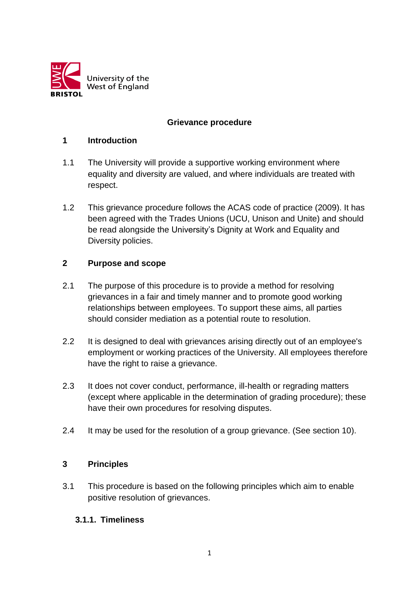

## **Grievance procedure**

#### **1 Introduction**

- 1.1 The University will provide a supportive working environment where equality and diversity are valued, and where individuals are treated with respect.
- 1.2 This grievance procedure follows the ACAS code of practice (2009). It has been agreed with the Trades Unions (UCU, Unison and Unite) and should be read alongside the University's Dignity at Work and Equality and Diversity policies.

#### **2 Purpose and scope**

- 2.1 The purpose of this procedure is to provide a method for resolving grievances in a fair and timely manner and to promote good working relationships between employees. To support these aims, all parties should consider mediation as a potential route to resolution.
- 2.2 It is designed to deal with grievances arising directly out of an employee's employment or working practices of the University. All employees therefore have the right to raise a grievance.
- 2.3 It does not cover conduct, performance, ill-health or regrading matters (except where applicable in the determination of grading procedure); these have their own procedures for resolving disputes.
- 2.4 It may be used for the resolution of a group grievance. (See section 10).

#### **3 Principles**

3.1 This procedure is based on the following principles which aim to enable positive resolution of grievances.

#### **3.1.1. Timeliness**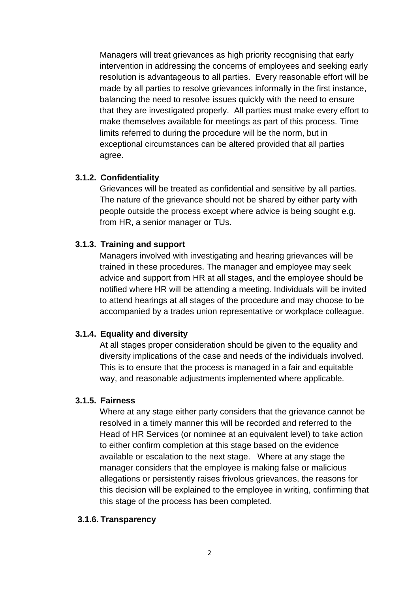Managers will treat grievances as high priority recognising that early intervention in addressing the concerns of employees and seeking early resolution is advantageous to all parties. Every reasonable effort will be made by all parties to resolve grievances informally in the first instance, balancing the need to resolve issues quickly with the need to ensure that they are investigated properly. All parties must make every effort to make themselves available for meetings as part of this process. Time limits referred to during the procedure will be the norm, but in exceptional circumstances can be altered provided that all parties agree.

#### **3.1.2. Confidentiality**

Grievances will be treated as confidential and sensitive by all parties. The nature of the grievance should not be shared by either party with people outside the process except where advice is being sought e.g. from HR, a senior manager or TUs.

### **3.1.3. Training and support**

Managers involved with investigating and hearing grievances will be trained in these procedures. The manager and employee may seek advice and support from HR at all stages, and the employee should be notified where HR will be attending a meeting. Individuals will be invited to attend hearings at all stages of the procedure and may choose to be accompanied by a trades union representative or workplace colleague.

#### **3.1.4. Equality and diversity**

At all stages proper consideration should be given to the equality and diversity implications of the case and needs of the individuals involved. This is to ensure that the process is managed in a fair and equitable way, and reasonable adjustments implemented where applicable.

#### **3.1.5. Fairness**

Where at any stage either party considers that the grievance cannot be resolved in a timely manner this will be recorded and referred to the Head of HR Services (or nominee at an equivalent level) to take action to either confirm completion at this stage based on the evidence available or escalation to the next stage. Where at any stage the manager considers that the employee is making false or malicious allegations or persistently raises frivolous grievances, the reasons for this decision will be explained to the employee in writing, confirming that this stage of the process has been completed.

#### **3.1.6. Transparency**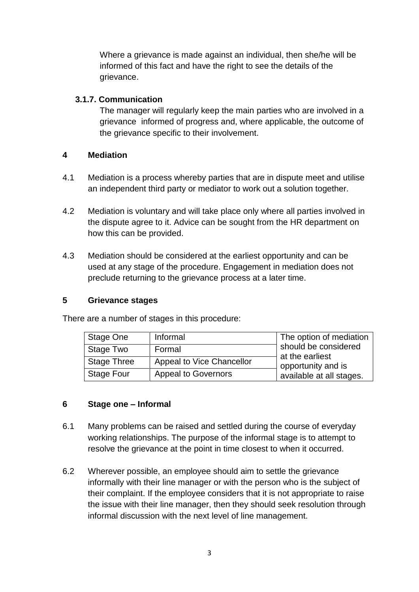Where a grievance is made against an individual, then she/he will be informed of this fact and have the right to see the details of the grievance.

### **3.1.7. Communication**

The manager will regularly keep the main parties who are involved in a grievance informed of progress and, where applicable, the outcome of the grievance specific to their involvement.

### **4 Mediation**

- 4.1 Mediation is a process whereby parties that are in dispute meet and utilise an independent third party or mediator to work out a solution together.
- 4.2 Mediation is voluntary and will take place only where all parties involved in the dispute agree to it. Advice can be sought from the HR department on how this can be provided.
- 4.3 Mediation should be considered at the earliest opportunity and can be used at any stage of the procedure. Engagement in mediation does not preclude returning to the grievance process at a later time.

#### **5 Grievance stages**

There are a number of stages in this procedure:

| Stage One          | Informal                   | The option of mediation               |
|--------------------|----------------------------|---------------------------------------|
| Stage Two          | Formal                     | should be considered                  |
| <b>Stage Three</b> | Appeal to Vice Chancellor  | at the earliest<br>opportunity and is |
| <b>Stage Four</b>  | <b>Appeal to Governors</b> | available at all stages.              |

## **6 Stage one – Informal**

- 6.1 Many problems can be raised and settled during the course of everyday working relationships. The purpose of the informal stage is to attempt to resolve the grievance at the point in time closest to when it occurred.
- 6.2 Wherever possible, an employee should aim to settle the grievance informally with their line manager or with the person who is the subject of their complaint. If the employee considers that it is not appropriate to raise the issue with their line manager, then they should seek resolution through informal discussion with the next level of line management.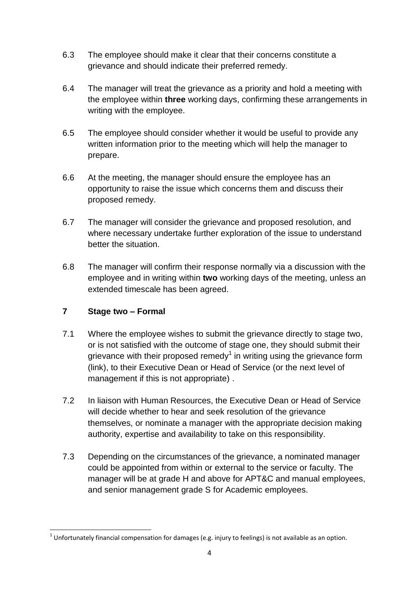- 6.3 The employee should make it clear that their concerns constitute a grievance and should indicate their preferred remedy.
- 6.4 The manager will treat the grievance as a priority and hold a meeting with the employee within **three** working days, confirming these arrangements in writing with the employee.
- 6.5 The employee should consider whether it would be useful to provide any written information prior to the meeting which will help the manager to prepare.
- 6.6 At the meeting, the manager should ensure the employee has an opportunity to raise the issue which concerns them and discuss their proposed remedy.
- 6.7 The manager will consider the grievance and proposed resolution, and where necessary undertake further exploration of the issue to understand better the situation.
- 6.8 The manager will confirm their response normally via a discussion with the employee and in writing within **two** working days of the meeting, unless an extended timescale has been agreed.

# **7 Stage two – Formal**

- 7.1 Where the employee wishes to submit the grievance directly to stage two, or is not satisfied with the outcome of stage one, they should submit their grievance with their proposed remedy<sup>1</sup> in writing using the grievance form (link), to their Executive Dean or Head of Service (or the next level of management if this is not appropriate) .
- 7.2 In liaison with Human Resources, the Executive Dean or Head of Service will decide whether to hear and seek resolution of the grievance themselves, or nominate a manager with the appropriate decision making authority, expertise and availability to take on this responsibility.
- 7.3 Depending on the circumstances of the grievance, a nominated manager could be appointed from within or external to the service or faculty. The manager will be at grade H and above for APT&C and manual employees, and senior management grade S for Academic employees.

 1 Unfortunately financial compensation for damages (e.g. injury to feelings) is not available as an option.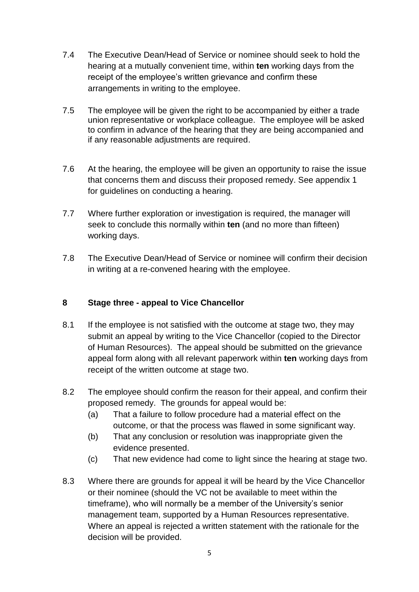- 7.4 The Executive Dean/Head of Service or nominee should seek to hold the hearing at a mutually convenient time, within **ten** working days from the receipt of the employee's written grievance and confirm these arrangements in writing to the employee.
- 7.5 The employee will be given the right to be accompanied by either a trade union representative or workplace colleague. The employee will be asked to confirm in advance of the hearing that they are being accompanied and if any reasonable adjustments are required.
- 7.6 At the hearing, the employee will be given an opportunity to raise the issue that concerns them and discuss their proposed remedy. See appendix 1 for guidelines on conducting a hearing.
- 7.7 Where further exploration or investigation is required, the manager will seek to conclude this normally within **ten** (and no more than fifteen) working days.
- 7.8 The Executive Dean/Head of Service or nominee will confirm their decision in writing at a re-convened hearing with the employee.

## **8 Stage three - appeal to Vice Chancellor**

- 8.1 If the employee is not satisfied with the outcome at stage two, they may submit an appeal by writing to the Vice Chancellor (copied to the Director of Human Resources). The appeal should be submitted on the grievance appeal form along with all relevant paperwork within **ten** working days from receipt of the written outcome at stage two.
- 8.2 The employee should confirm the reason for their appeal, and confirm their proposed remedy. The grounds for appeal would be:
	- (a) That a failure to follow procedure had a material effect on the outcome, or that the process was flawed in some significant way.
	- (b) That any conclusion or resolution was inappropriate given the evidence presented.
	- (c) That new evidence had come to light since the hearing at stage two.
- 8.3 Where there are grounds for appeal it will be heard by the Vice Chancellor or their nominee (should the VC not be available to meet within the timeframe), who will normally be a member of the University's senior management team, supported by a Human Resources representative. Where an appeal is rejected a written statement with the rationale for the decision will be provided.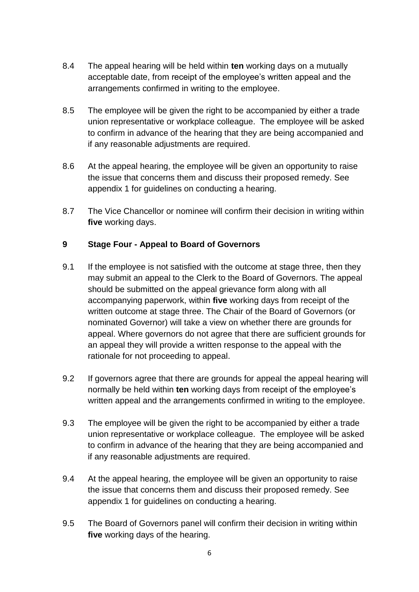- 8.4 The appeal hearing will be held within **ten** working days on a mutually acceptable date, from receipt of the employee's written appeal and the arrangements confirmed in writing to the employee.
- 8.5 The employee will be given the right to be accompanied by either a trade union representative or workplace colleague. The employee will be asked to confirm in advance of the hearing that they are being accompanied and if any reasonable adjustments are required.
- 8.6 At the appeal hearing, the employee will be given an opportunity to raise the issue that concerns them and discuss their proposed remedy. See appendix 1 for guidelines on conducting a hearing.
- 8.7 The Vice Chancellor or nominee will confirm their decision in writing within **five** working days.

# **9 Stage Four - Appeal to Board of Governors**

- 9.1 If the employee is not satisfied with the outcome at stage three, then they may submit an appeal to the Clerk to the Board of Governors. The appeal should be submitted on the appeal grievance form along with all accompanying paperwork, within **five** working days from receipt of the written outcome at stage three. The Chair of the Board of Governors (or nominated Governor) will take a view on whether there are grounds for appeal. Where governors do not agree that there are sufficient grounds for an appeal they will provide a written response to the appeal with the rationale for not proceeding to appeal.
- 9.2 If governors agree that there are grounds for appeal the appeal hearing will normally be held within **ten** working days from receipt of the employee's written appeal and the arrangements confirmed in writing to the employee.
- 9.3 The employee will be given the right to be accompanied by either a trade union representative or workplace colleague. The employee will be asked to confirm in advance of the hearing that they are being accompanied and if any reasonable adjustments are required.
- 9.4 At the appeal hearing, the employee will be given an opportunity to raise the issue that concerns them and discuss their proposed remedy. See appendix 1 for guidelines on conducting a hearing.
- 9.5 The Board of Governors panel will confirm their decision in writing within **five** working days of the hearing.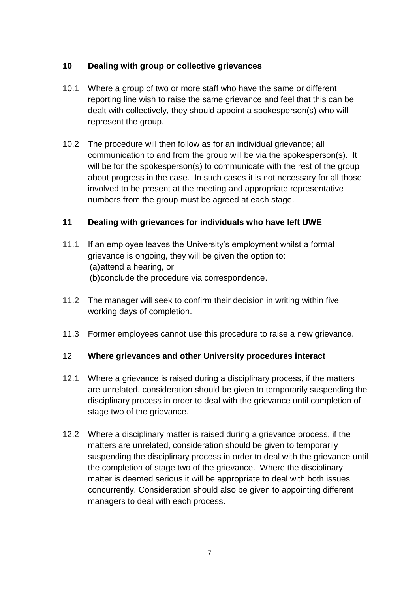# **10 Dealing with group or collective grievances**

- 10.1 Where a group of two or more staff who have the same or different reporting line wish to raise the same grievance and feel that this can be dealt with collectively, they should appoint a spokesperson(s) who will represent the group.
- 10.2 The procedure will then follow as for an individual grievance; all communication to and from the group will be via the spokesperson(s). It will be for the spokesperson(s) to communicate with the rest of the group about progress in the case. In such cases it is not necessary for all those involved to be present at the meeting and appropriate representative numbers from the group must be agreed at each stage.

## **11 Dealing with grievances for individuals who have left UWE**

- 11.1 If an employee leaves the University's employment whilst a formal grievance is ongoing, they will be given the option to: (a)attend a hearing, or (b)conclude the procedure via correspondence.
- 11.2 The manager will seek to confirm their decision in writing within five working days of completion.
- 11.3 Former employees cannot use this procedure to raise a new grievance.

# 12 **Where grievances and other University procedures interact**

- 12.1 Where a grievance is raised during a disciplinary process, if the matters are unrelated, consideration should be given to temporarily suspending the disciplinary process in order to deal with the grievance until completion of stage two of the grievance.
- 12.2 Where a disciplinary matter is raised during a grievance process, if the matters are unrelated, consideration should be given to temporarily suspending the disciplinary process in order to deal with the grievance until the completion of stage two of the grievance. Where the disciplinary matter is deemed serious it will be appropriate to deal with both issues concurrently. Consideration should also be given to appointing different managers to deal with each process.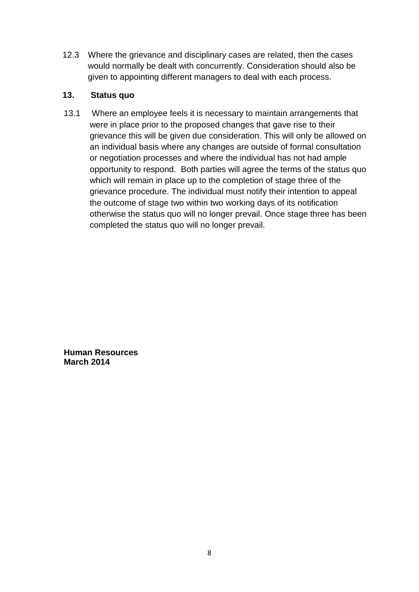12.3 Where the grievance and disciplinary cases are related, then the cases would normally be dealt with concurrently. Consideration should also be given to appointing different managers to deal with each process.

## **13. Status quo**

13.1 Where an employee feels it is necessary to maintain arrangements that were in place prior to the proposed changes that gave rise to their grievance this will be given due consideration. This will only be allowed on an individual basis where any changes are outside of formal consultation or negotiation processes and where the individual has not had ample opportunity to respond. Both parties will agree the terms of the status quo which will remain in place up to the completion of stage three of the grievance procedure. The individual must notify their intention to appeal the outcome of stage two within two working days of its notification otherwise the status quo will no longer prevail. Once stage three has been completed the status quo will no longer prevail.

**Human Resources March 2014**